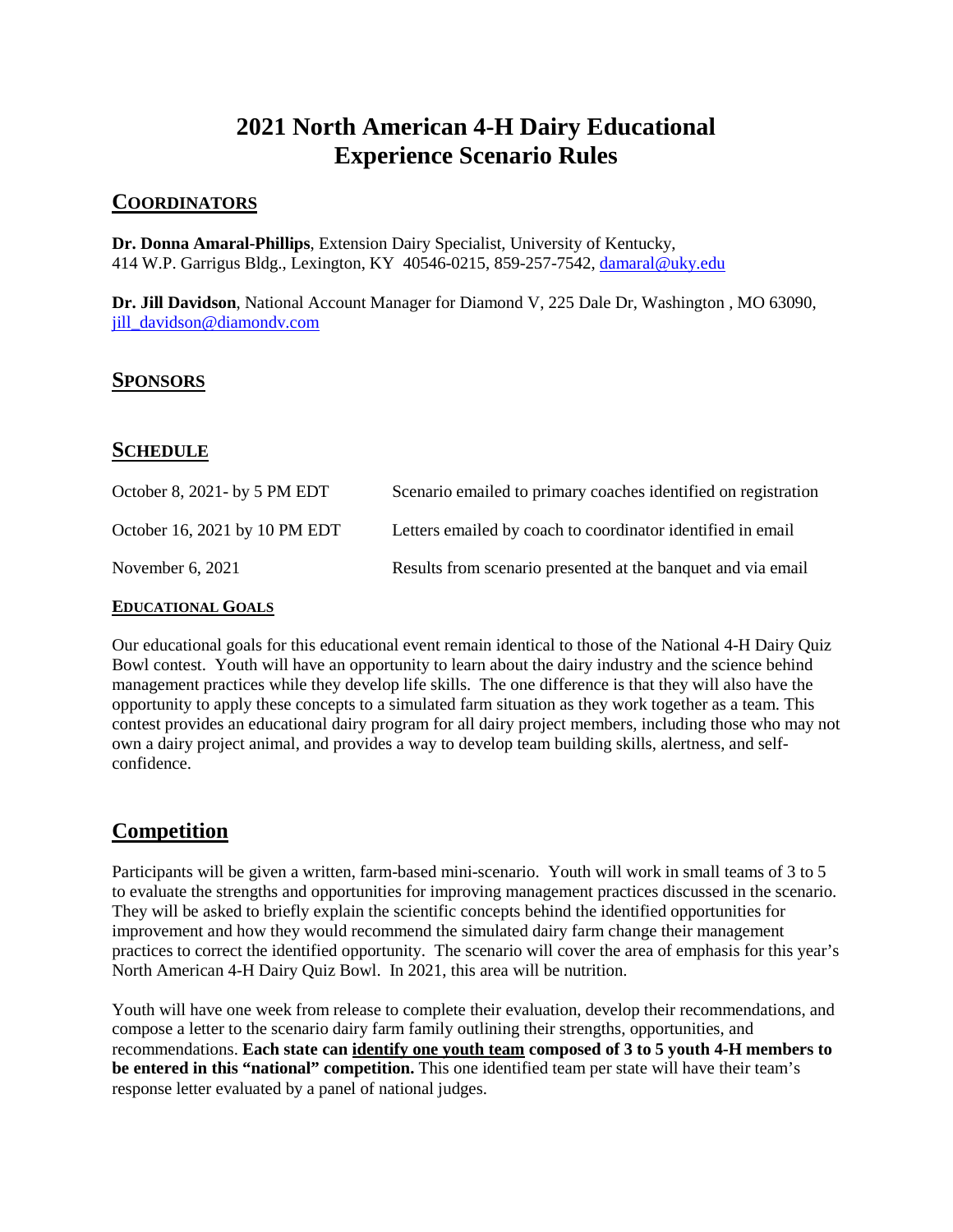# **2021 North American 4-H Dairy Educational Experience Scenario Rules**

### **COORDINATORS**

**Dr. Donna Amaral-Phillips**, Extension Dairy Specialist, University of Kentucky, 414 W.P. Garrigus Bldg., Lexington, KY 40546-0215, 859-257-7542, [damaral@uky.edu](mailto:damaral@uky.edu)

**Dr. Jill Davidson**, National Account Manager for Diamond V, 225 Dale Dr, Washington , MO 63090, [jill\\_davidson@diamondv.com](mailto:jill_davidson@diamondv.com)

### **SPONSORS**

### **SCHEDULE**

| October 8, 2021 - by 5 PM EDT | Scenario emailed to primary coaches identified on registration |
|-------------------------------|----------------------------------------------------------------|
| October 16, 2021 by 10 PM EDT | Letters emailed by coach to coordinator identified in email    |
| November $6, 2021$            | Results from scenario presented at the banquet and via email   |

#### **EDUCATIONAL GOALS**

Our educational goals for this educational event remain identical to those of the National 4-H Dairy Quiz Bowl contest. Youth will have an opportunity to learn about the dairy industry and the science behind management practices while they develop life skills. The one difference is that they will also have the opportunity to apply these concepts to a simulated farm situation as they work together as a team. This contest provides an educational dairy program for all dairy project members, including those who may not own a dairy project animal, and provides a way to develop team building skills, alertness, and selfconfidence.

# **Competition**

Participants will be given a written, farm-based mini-scenario. Youth will work in small teams of 3 to 5 to evaluate the strengths and opportunities for improving management practices discussed in the scenario. They will be asked to briefly explain the scientific concepts behind the identified opportunities for improvement and how they would recommend the simulated dairy farm change their management practices to correct the identified opportunity. The scenario will cover the area of emphasis for this year's North American 4-H Dairy Quiz Bowl. In 2021, this area will be nutrition.

Youth will have one week from release to complete their evaluation, develop their recommendations, and compose a letter to the scenario dairy farm family outlining their strengths, opportunities, and recommendations. **Each state can identify one youth team composed of 3 to 5 youth 4-H members to be entered in this "national" competition.** This one identified team per state will have their team's response letter evaluated by a panel of national judges.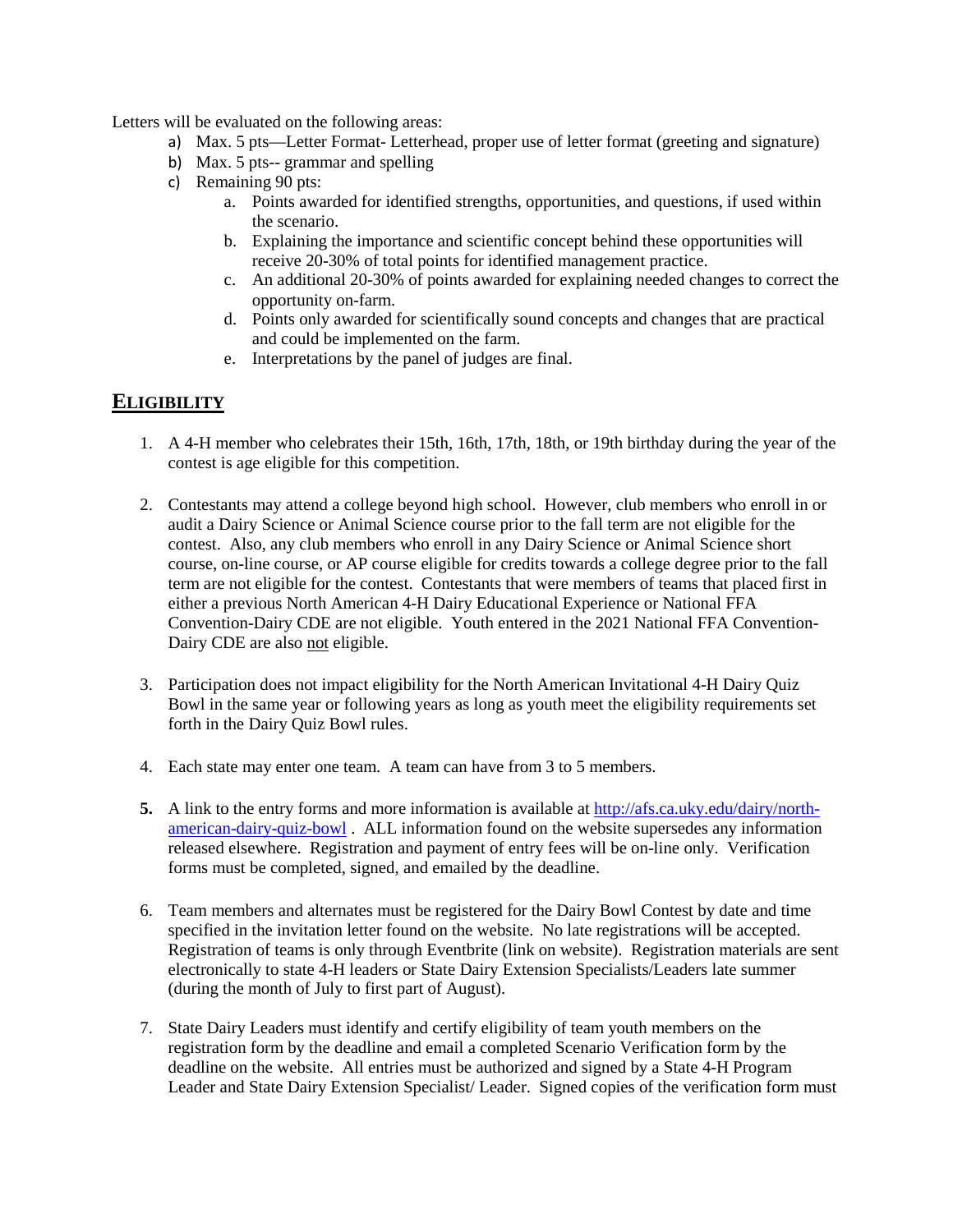Letters will be evaluated on the following areas:

- a) Max. 5 pts—Letter Format- Letterhead, proper use of letter format (greeting and signature)
- b) Max. 5 pts-- grammar and spelling
- c) Remaining 90 pts:
	- a. Points awarded for identified strengths, opportunities, and questions, if used within the scenario.
	- b. Explaining the importance and scientific concept behind these opportunities will receive 20-30% of total points for identified management practice.
	- c. An additional 20-30% of points awarded for explaining needed changes to correct the opportunity on-farm.
	- d. Points only awarded for scientifically sound concepts and changes that are practical and could be implemented on the farm.
	- e. Interpretations by the panel of judges are final.

## **ELIGIBILITY**

- 1. A 4-H member who celebrates their 15th, 16th, 17th, 18th, or 19th birthday during the year of the contest is age eligible for this competition.
- 2. Contestants may attend a college beyond high school. However, club members who enroll in or audit a Dairy Science or Animal Science course prior to the fall term are not eligible for the contest. Also, any club members who enroll in any Dairy Science or Animal Science short course, on-line course, or AP course eligible for credits towards a college degree prior to the fall term are not eligible for the contest. Contestants that were members of teams that placed first in either a previous North American 4-H Dairy Educational Experience or National FFA Convention-Dairy CDE are not eligible. Youth entered in the 2021 National FFA Convention-Dairy CDE are also not eligible.
- 3. Participation does not impact eligibility for the North American Invitational 4-H Dairy Quiz Bowl in the same year or following years as long as youth meet the eligibility requirements set forth in the Dairy Quiz Bowl rules.
- 4. Each state may enter one team. A team can have from 3 to 5 members.
- **5.** A link to the entry forms and more information is available a[t http://afs.ca.uky.edu/dairy/north](http://afs.ca.uky.edu/dairy/north-american-dairy-quiz-bowl)[american-dairy-quiz-bowl](http://afs.ca.uky.edu/dairy/north-american-dairy-quiz-bowl) . ALL information found on the website supersedes any information released elsewhere. Registration and payment of entry fees will be on-line only. Verification forms must be completed, signed, and emailed by the deadline.
- 6. Team members and alternates must be registered for the Dairy Bowl Contest by date and time specified in the invitation letter found on the website. No late registrations will be accepted. Registration of teams is only through Eventbrite (link on website). Registration materials are sent electronically to state 4-H leaders or State Dairy Extension Specialists/Leaders late summer (during the month of July to first part of August).
- 7. State Dairy Leaders must identify and certify eligibility of team youth members on the registration form by the deadline and email a completed Scenario Verification form by the deadline on the website. All entries must be authorized and signed by a State 4-H Program Leader and State Dairy Extension Specialist/ Leader. Signed copies of the verification form must